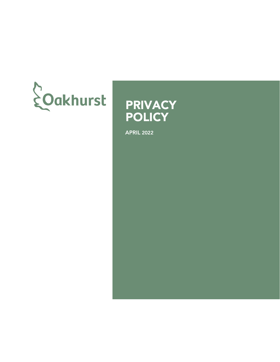



APRIL 2022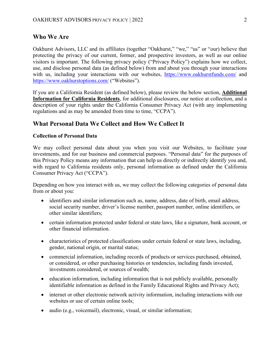### **Who We Are**

Oakhurst Advisors, LLC and its affiliates (together "Oakhurst," "we," "us" or "our) believe that protecting the privacy of our current, former, and prospective investors, as well as our online visitors is important. The following privacy policy ("Privacy Policy") explains how we collect, use, and disclose personal data (as defined below) from and about you through your interactions with us, including your interactions with our websites, <https://www.oakhurstfunds.com/> and <https://www.oakhurstoptions.com/> ("Websites").

If you are a California Resident (as defined below), please review the below section, **Additional Information for California Residents**, for additional disclosures, our notice at collection, and a description of your rights under the California Consumer Privacy Act (with any implementing regulations and as may be amended from time to time, "CCPA").

# **What Personal Data We Collect and How We Collect It**

#### **Collection of Personal Data**

We may collect personal data about you when you visit our Websites, to facilitate your investments, and for our business and commercial purposes. "Personal data" for the purposes of this Privacy Policy means any information that can help us directly or indirectly identify you and, with regard to California residents only, personal information as defined under the California Consumer Privacy Act ("CCPA").

Depending on how you interact with us, we may collect the following categories of personal data from or about you:

- identifiers and similar information such as, name, address, date of birth, email address, social security number, driver's license number, passport number, online identifiers, or other similar identifiers;
- certain information protected under federal or state laws, like a signature, bank account, or other financial information.
- characteristics of protected classifications under certain federal or state laws, including, gender, national origin, or marital status;
- commercial information, including records of products or services purchased, obtained, or considered, or other purchasing histories or tendencies, including funds invested, investments considered, or sources of wealth;
- education information, including information that is not publicly available, personally identifiable information as defined in the Family Educational Rights and Privacy Act);
- internet or other electronic network activity information, including interactions with our websites or use of certain online tools;
- audio (e.g., voicemail), electronic, visual, or similar information;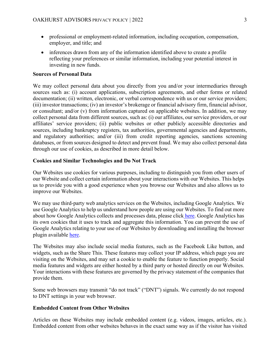- professional or employment-related information, including occupation, compensation, employer, and title; and
- inferences drawn from any of the information identified above to create a profile reflecting your preferences or similar information, including your potential interest in investing in new funds.

#### **Sources of Personal Data**

We may collect personal data about you directly from you and/or your intermediaries through sources such as: (i) account applications, subscription agreements, and other forms or related documentation; (ii) written, electronic, or verbal correspondence with us or our service providers; (iii) investor transactions; (iv) an investor's brokerage or financial advisory firm, financial advisor, or consultant; and/or (v) from information captured on applicable websites. In addition, we may collect personal data from different sources, such as: (i) our affiliates, our service providers, or our affiliates' service providers; (ii) public websites or other publicly accessible directories and sources, including bankruptcy registers, tax authorities, governmental agencies and departments, and regulatory authorities; and/or (iii) from credit reporting agencies, sanctions screening databases, or from sources designed to detect and prevent fraud. We may also collect personal data through our use of cookies, as described in more detail below.

#### **Cookies and Similar Technologies and Do Not Track**

Our Websites use cookies for various purposes, including to distinguish you from other users of our Website and collect certain information about your interactions with our Websites. This helps us to provide you with a good experience when you browse our Websites and also allows us to improve our Websites.

We may use third-party web analytics services on the Websites, including Google Analytics. We use Google Analytics to help us understand how people are using our Websites. To find out more about how Google Analytics collects and processes data, please click [here.](https://policies.google.com/technologies/partner-sites) Google Analytics has its own cookies that it uses to track and aggregate this information. You can prevent the use of Google Analytics relating to your use of our Websites by downloading and installing the browser plugin available [here.](https://tools.google.com/dlpage/gaoptout?hl=en-GB)

The Websites may also include social media features, such as the Facebook Like button, and widgets, such as the Share This. These features may collect your IP address, which page you are visiting on the Websites, and may set a cookie to enable the feature to function properly. Social media features and widgets are either hosted by a third party or hosted directly on our Websites. Your interactions with these features are governed by the privacy statement of the companies that provide them.

Some web browsers may transmit "do not track" ("DNT") signals. We currently do not respond to DNT settings in your web browser.

#### **Embedded Content from Other Websites**

Articles on these Websites may include embedded content (e.g. videos, images, articles, etc.). Embedded content from other websites behaves in the exact same way as if the visitor has visited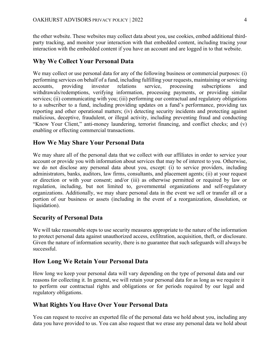the other website. These websites may collect data about you, use cookies, embed additional thirdparty tracking, and monitor your interaction with that embedded content, including tracing your interaction with the embedded content if you have an account and are logged in to that website.

### **Why We Collect Your Personal Data**

We may collect or use personal data for any of the following business or commercial purposes: (i) performing services on behalf of a fund, including fulfilling your requests, maintaining or servicing accounts, providing investor relations service, processing subscriptions and withdrawals/redemptions, verifying information, processing payments, or providing similar services; (ii) communicating with you; (iii) performing our contractual and regulatory obligations to a subscriber to a fund, including providing updates on a fund's performance, providing tax reporting and other operational matters; (iv) detecting security incidents and protecting against malicious, deceptive, fraudulent, or illegal activity, including preventing fraud and conducting "Know Your Client," anti-money laundering, terrorist financing, and conflict checks; and (v) enabling or effecting commercial transactions.

## **How We May Share Your Personal Data**

We may share all of the personal data that we collect with our affiliates in order to service your account or provide you with information about services that may be of interest to you. Otherwise, we do not disclose any personal data about you, except: (i) to service providers, including administrators, banks, auditors, law firms, consultants, and placement agents; (ii) at your request or direction or with your consent; and/or (iii) as otherwise permitted or required by law or regulation, including, but not limited to, governmental organizations and self-regulatory organizations. Additionally, we may share personal data in the event we sell or transfer all or a portion of our business or assets (including in the event of a reorganization, dissolution, or liquidation).

# **Security of Personal Data**

We will take reasonable steps to use security measures appropriate to the nature of the information to protect personal data against unauthorized access, exfiltration, acquisition, theft, or disclosure. Given the nature of information security, there is no guarantee that such safeguards will always be successful.

## **How Long We Retain Your Personal Data**

How long we keep your personal data will vary depending on the type of personal data and our reasons for collecting it. In general, we will retain your personal data for as long as we require it to perform our contractual rights and obligations or for periods required by our legal and regulatory obligations.

# **What Rights You Have Over Your Personal Data**

You can request to receive an exported file of the personal data we hold about you, including any data you have provided to us. You can also request that we erase any personal data we hold about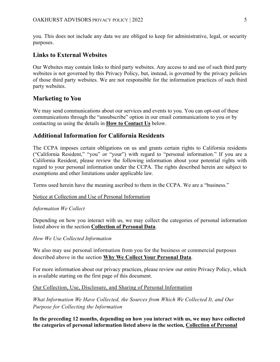you. This does not include any data we are obliged to keep for administrative, legal, or security purposes.

# **Links to External Websites**

Our Websites may contain links to third party websites. Any access to and use of such third party websites is not governed by this Privacy Policy, but, instead, is governed by the privacy policies of those third party websites. We are not responsible for the information practices of such third party websites.

# **Marketing to You**

We may send communications about our services and events to you. You can opt-out of these communications through the "unsubscribe" option in our email communications to you or by contacting us using the details in **How to Contact Us** below.

# **Additional Information for California Residents**

The CCPA imposes certain obligations on us and grants certain rights to California residents ("California Resident," "you" or "your") with regard to "personal information." If you are a California Resident, please review the following information about your potential rights with regard to your personal information under the CCPA. The rights described herein are subject to exemptions and other limitations under applicable law.

Terms used herein have the meaning ascribed to them in the CCPA. We are a "business."

#### Notice at Collection and Use of Personal Information

#### *Information We Collect*

Depending on how you interact with us, we may collect the categories of personal information listed above in the section **Collection of Personal Data**.

*How We Use Collected Information* 

We also may use personal information from you for the business or commercial purposes described above in the section **Why We Collect Your Personal Data**.

For more information about our privacy practices, please review our entire Privacy Policy, which is available starting on the first page of this document.

#### Our Collection, Use, Disclosure, and Sharing of Personal Information

*What Information We Have Collected, the Sources from Which We Collected It, and Our Purpose for Collecting the Information* 

**In the preceding 12 months, depending on how you interact with us, we may have collected the categories of personal information listed above in the section, Collection of Personal**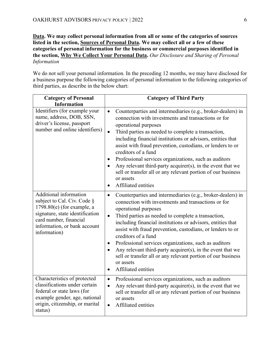**Data. We may collect personal information from all or some of the categories of sources listed in the section, Sources of Personal Data. We may collect all or a few of these categories of personal information for the business or commercial purposes identified in the section, Why We Collect Your Personal Data.** *Our Disclosure and Sharing of Personal Information*

We do not sell your personal information. In the preceding 12 months, we may have disclosed for a business purpose the following categories of personal information to the following categories of third parties, as describe in the below chart:

| <b>Category of Personal</b><br><b>Information</b>                                                                                                                                                  | <b>Category of Third Party</b>                                                                                                                                                                                                                                                                                                                                                                                                                                                                                                                                                                                                                   |  |
|----------------------------------------------------------------------------------------------------------------------------------------------------------------------------------------------------|--------------------------------------------------------------------------------------------------------------------------------------------------------------------------------------------------------------------------------------------------------------------------------------------------------------------------------------------------------------------------------------------------------------------------------------------------------------------------------------------------------------------------------------------------------------------------------------------------------------------------------------------------|--|
| Identifiers (for example your<br>name, address, DOB, SSN,<br>driver's license, passport<br>number and online identifiers)                                                                          | Counterparties and intermediaries (e.g., broker-dealers) in<br>$\bullet$<br>connection with investments and transactions or for<br>operational purposes<br>Third parties as needed to complete a transaction,<br>$\bullet$<br>including financial institutions or advisors, entities that<br>assist with fraud prevention, custodians, or lenders to or<br>creditors of a fund<br>Professional services organizations, such as auditors<br>$\bullet$<br>Any relevant third-party acquirer(s), in the event that we<br>$\bullet$<br>sell or transfer all or any relevant portion of our business<br>or assets<br>Affiliated entities<br>$\bullet$ |  |
| Additional information<br>subject to Cal. Civ. Code §<br>$1798.80(e)$ (for example, a<br>signature, state identification<br>card number, financial<br>information, or bank account<br>information) | Counterparties and intermediaries (e.g., broker-dealers) in<br>$\bullet$<br>connection with investments and transactions or for<br>operational purposes<br>Third parties as needed to complete a transaction,<br>$\bullet$<br>including financial institutions or advisors, entities that<br>assist with fraud prevention, custodians, or lenders to or<br>creditors of a fund<br>Professional services organizations, such as auditors<br>$\bullet$<br>Any relevant third-party acquirer(s), in the event that we<br>$\bullet$<br>sell or transfer all or any relevant portion of our business<br>or assets<br>Affiliated entities<br>$\bullet$ |  |
| Characteristics of protected<br>classifications under certain<br>federal or state laws (for<br>example gender, age, national<br>origin, citizenship, or marital<br>status)                         | Professional services organizations, such as auditors<br>$\bullet$<br>Any relevant third-party acquirer(s), in the event that we<br>$\bullet$<br>sell or transfer all or any relevant portion of our business<br>or assets<br>Affiliated entities<br>$\bullet$                                                                                                                                                                                                                                                                                                                                                                                   |  |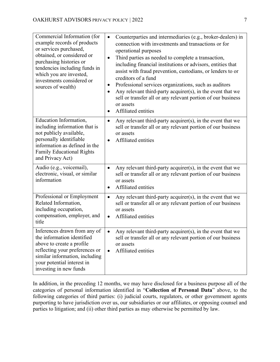| Commercial Information (for<br>example records of products<br>or services purchased,<br>obtained, or considered or<br>purchasing histories or<br>tendencies including funds in<br>which you are invested,<br>investments considered or<br>sources of wealth) | Counterparties and intermediaries (e.g., broker-dealers) in<br>$\bullet$<br>connection with investments and transactions or for<br>operational purposes<br>Third parties as needed to complete a transaction,<br>$\bullet$<br>including financial institutions or advisors, entities that<br>assist with fraud prevention, custodians, or lenders to or<br>creditors of a fund<br>Professional services organizations, such as auditors<br>$\bullet$<br>Any relevant third-party acquirer(s), in the event that we<br>$\bullet$<br>sell or transfer all or any relevant portion of our business<br>or assets<br>Affiliated entities<br>$\bullet$ |
|--------------------------------------------------------------------------------------------------------------------------------------------------------------------------------------------------------------------------------------------------------------|--------------------------------------------------------------------------------------------------------------------------------------------------------------------------------------------------------------------------------------------------------------------------------------------------------------------------------------------------------------------------------------------------------------------------------------------------------------------------------------------------------------------------------------------------------------------------------------------------------------------------------------------------|
| Education Information,<br>including information that is<br>not publicly available,<br>personally identifiable<br>information as defined in the<br><b>Family Educational Rights</b><br>and Privacy Act)                                                       | Any relevant third-party acquirer(s), in the event that we<br>$\bullet$<br>sell or transfer all or any relevant portion of our business<br>or assets<br>Affiliated entities<br>$\bullet$                                                                                                                                                                                                                                                                                                                                                                                                                                                         |
| Audio (e.g., voicemail),<br>electronic, visual, or similar<br>information                                                                                                                                                                                    | Any relevant third-party acquirer(s), in the event that we<br>$\bullet$<br>sell or transfer all or any relevant portion of our business<br>or assets<br>Affiliated entities<br>$\bullet$                                                                                                                                                                                                                                                                                                                                                                                                                                                         |
| Professional or Employment<br>Related Information,<br>including occupation,<br>compensation, employer, and<br>title                                                                                                                                          | Any relevant third-party acquirer(s), in the event that we<br>$\bullet$<br>sell or transfer all or any relevant portion of our business<br>or assets<br>Affiliated entities<br>$\bullet$                                                                                                                                                                                                                                                                                                                                                                                                                                                         |
| Inferences drawn from any of<br>the information identified<br>above to create a profile<br>reflecting your preferences or<br>similar information, including<br>your potential interest in<br>investing in new funds                                          | Any relevant third-party acquirer(s), in the event that we<br>$\bullet$<br>sell or transfer all or any relevant portion of our business<br>or assets<br>Affiliated entities<br>$\bullet$                                                                                                                                                                                                                                                                                                                                                                                                                                                         |

In addition, in the preceding 12 months, we may have disclosed for a business purpose all of the categories of personal information identified in "**Collection of Personal Data**" above, to the following categories of third parties: (i) judicial courts, regulators, or other government agents purporting to have jurisdiction over us, our subsidiaries or our affiliates, or opposing counsel and parties to litigation; and (ii) other third parties as may otherwise be permitted by law.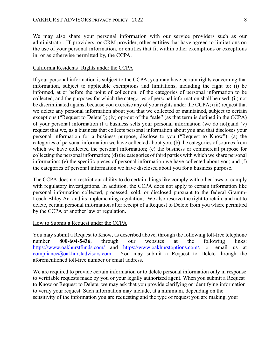We may also share your personal information with our service providers such as our administrator, IT providers, or CRM provider, other entities that have agreed to limitations on the use of your personal information, or entities that fit within other exemptions or exceptions in. or as otherwise permitted by, the CCPA.

#### California Residents' Rights under the CCPA

If your personal information is subject to the CCPA, you may have certain rights concerning that information, subject to applicable exemptions and limitations, including the right to: (i) be informed, at or before the point of collection, of the categories of personal information to be collected, and the purposes for which the categories of personal information shall be used; (ii) not be discriminated against because you exercise any of your rights under the CCPA; (iii) request that we delete any personal information about you that we collected or maintained, subject to certain exceptions ("Request to Delete"); (iv) opt-out of the "sale" (as that term is defined in the CCPA) of your personal information if a business sells your personal information (we do not);and (v) request that we, as a business that collects personal information about you and that discloses your personal information for a business purpose, disclose to you ("Request to Know"): (a) the categories of personal information we have collected about you; (b) the categories of sources from which we have collected the personal information; (c) the business or commercial purpose for collecting the personal information; (d) the categories of third parties with which we share personal information; (e) the specific pieces of personal information we have collected about you; and (f) the categories of personal information we have disclosed about you for a business purpose.

The CCPA does not restrict our ability to do certain things like comply with other laws or comply with regulatory investigations. In addition, the CCPA does not apply to certain information like personal information collected, processed, sold, or disclosed pursuant to the federal Gramm-Leach-Bliley Act and its implementing regulations. We also reserve the right to retain, and not to delete, certain personal information after receipt of a Request to Delete from you where permitted by the CCPA or another law or regulation.

#### How to Submit a Request under the CCPA

You may submit a Request to Know, as described above, through the following toll-free telephone number **800-604-5436**, through our websites at the following links: <https://www.oakhurstfunds.com/> and [https://www.oakhurstoptions.com/,](https://www.oakhurstoptions.com/) or email us at [compliance@oakhurstadvisors.com.](mailto:compliance@oakhurstadvisors.com) You may submit a Request to Delete through the aforementioned toll-free number or email address.

We are required to provide certain information or to delete personal information only in response to verifiable requests made by you or your legally authorized agent. When you submit a Request to Know or Request to Delete, we may ask that you provide clarifying or identifying information to verify your request. Such information may include, at a minimum, depending on the sensitivity of the information you are requesting and the type of request you are making, your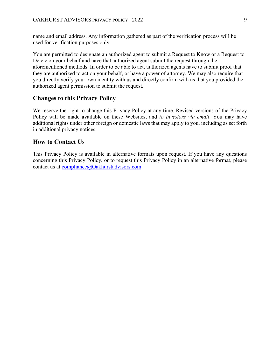name and email address. Any information gathered as part of the verification process will be used for verification purposes only.

You are permitted to designate an authorized agent to submit a Request to Know or a Request to Delete on your behalf and have that authorized agent submit the request through the aforementioned methods. In order to be able to act, authorized agents have to submit proof that they are authorized to act on your behalf, or have a power of attorney. We may also require that you directly verify your own identity with us and directly confirm with us that you provided the authorized agent permission to submit the request.

# **Changes to this Privacy Policy**

We reserve the right to change this Privacy Policy at any time. Revised versions of the Privacy Policy will be made available on these Websites, and *to investors via email*. You may have additional rights under other foreign or domestic laws that may apply to you, including as set forth in additional privacy notices.

# **How to Contact Us**

This Privacy Policy is available in alternative formats upon request. If you have any questions concerning this Privacy Policy, or to request this Privacy Policy in an alternative format, please contact us at [compliance@Oakhurstadvisors.com.](mailto:compliance@lidoadvisors.com)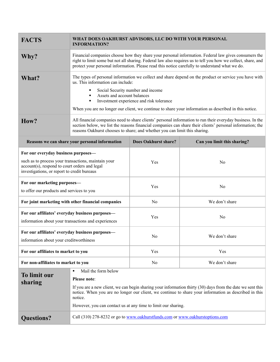| <b>FACTS</b>                                                                                                                                                                               | WHAT DOES OAKHURST ADVISORS, LLC DO WITH YOUR PERSONAL<br><b>INFORMATION?</b>                                                                                                                                                                                                                                                                                                                   |                             |                             |
|--------------------------------------------------------------------------------------------------------------------------------------------------------------------------------------------|-------------------------------------------------------------------------------------------------------------------------------------------------------------------------------------------------------------------------------------------------------------------------------------------------------------------------------------------------------------------------------------------------|-----------------------------|-----------------------------|
| Why?                                                                                                                                                                                       | Financial companies choose how they share your personal information. Federal law gives consumers the<br>right to limit some but not all sharing. Federal law also requires us to tell you how we collect, share, and<br>protect your personal information. Please read this notice carefully to understand what we do.                                                                          |                             |                             |
| What?                                                                                                                                                                                      | The types of personal information we collect and share depend on the product or service you have with<br>us. This information can include:<br>Social Security number and income<br>٠<br>Assets and account balances<br>$\blacksquare$<br>Investment experience and risk tolerance<br>٠<br>When you are no longer our client, we continue to share your information as described in this notice. |                             |                             |
| How?                                                                                                                                                                                       | All financial companies need to share clients' personal information to run their everyday business. In the<br>section below, we list the reasons financial companies can share their clients' personal information; the<br>reasons Oakhurst chooses to share; and whether you can limit this sharing.                                                                                           |                             |                             |
| Reasons we can share your personal information                                                                                                                                             |                                                                                                                                                                                                                                                                                                                                                                                                 | <b>Does Oakhurst share?</b> | Can you limit this sharing? |
| For our everyday business purposes-<br>such as to process your transactions, maintain your<br>account(s), respond to court orders and legal<br>investigations, or report to credit bureaus |                                                                                                                                                                                                                                                                                                                                                                                                 | Yes                         | No                          |
| For our marketing purposes-<br>to offer our products and services to you                                                                                                                   |                                                                                                                                                                                                                                                                                                                                                                                                 | Yes                         | No                          |
| For joint marketing with other financial companies                                                                                                                                         |                                                                                                                                                                                                                                                                                                                                                                                                 | No                          | We don't share              |
| For our affiliates' everyday business purposes-<br>information about your transactions and experiences                                                                                     |                                                                                                                                                                                                                                                                                                                                                                                                 | Yes                         | No                          |
| For our affiliates' everyday business purposes-<br>information about your creditworthiness                                                                                                 |                                                                                                                                                                                                                                                                                                                                                                                                 | N <sub>0</sub>              | We don't share              |
| For our affiliates to market to you                                                                                                                                                        |                                                                                                                                                                                                                                                                                                                                                                                                 | Yes                         | Yes                         |
| For non-affiliates to market to you                                                                                                                                                        |                                                                                                                                                                                                                                                                                                                                                                                                 | No                          | We don't share              |
| <b>To limit our</b><br>sharing                                                                                                                                                             | Mail the form below<br>٠<br><b>Please note:</b><br>If you are a new client, we can begin sharing your information thirty (30) days from the date we sent this<br>notice. When you are no longer our client, we continue to share your information as described in this<br>notice.<br>However, you can contact us at any time to limit our sharing.                                              |                             |                             |
| <b>Questions?</b>                                                                                                                                                                          | Call (310) 278-8232 or go to www.oakhurstfunds.com or www.oakhurstoptions.com                                                                                                                                                                                                                                                                                                                   |                             |                             |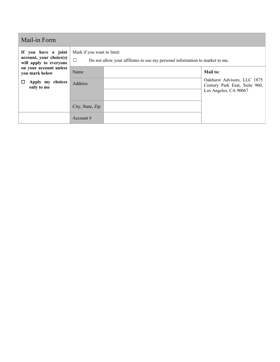| Mail-in Form                                                             |                                                                                                                      |  |                                                                                       |  |
|--------------------------------------------------------------------------|----------------------------------------------------------------------------------------------------------------------|--|---------------------------------------------------------------------------------------|--|
| If you have a joint<br>account, your choice(s)<br>will apply to everyone | Mark if you want to limit:<br>$\Box$<br>Do not allow your affiliates to use my personal information to market to me. |  |                                                                                       |  |
| on your account unless<br>you mark below                                 | Name                                                                                                                 |  | <b>Mail to:</b>                                                                       |  |
| Apply my choices<br>ப<br>only to me                                      | Address                                                                                                              |  | Oakhurst Advisors, LLC 1875<br>Century Park East, Suite 960,<br>Los Angeles, CA 90067 |  |
|                                                                          | City, State, Zip                                                                                                     |  |                                                                                       |  |
|                                                                          | Account $#$                                                                                                          |  |                                                                                       |  |